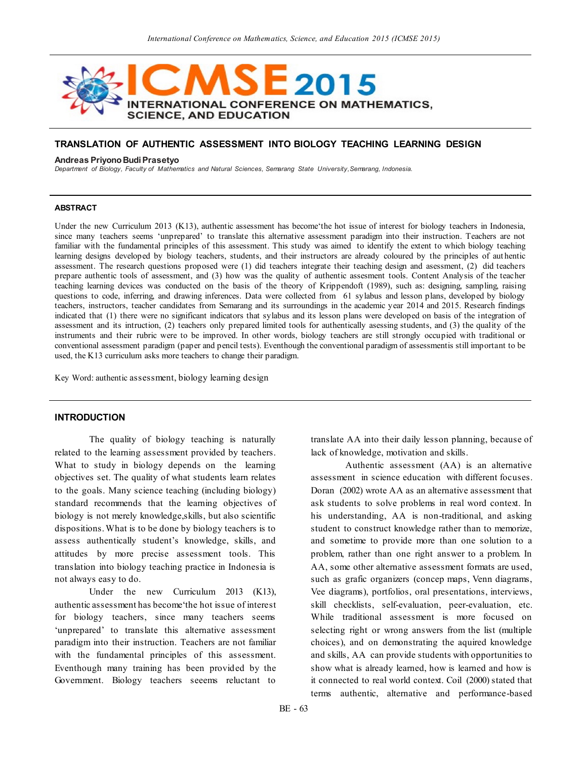

# **TRANSLATION OF AUTHENTIC ASSESSMENT INTO BIOLOGY TEACHING LEARNING DESIGN**

#### **Andreas Priyono Budi Prasetyo**

*Department of Biology, Faculty of Mathematics and Natural Sciences, Semarang State University,Semarang, Indonesia.*

### **ABSTRACT**

Under the new Curriculum 2013 (K13), authentic assessment has become the hot issue of interest for biology teachers in Indonesia, since many teachers seems "unprepared" to translate this alternative assessment paradigm into their instruction. Teachers are not familiar with the fundamental principles of this assessment. This study was aimed to identify the extent to which biology teaching learning designs developed by biology teachers, students, and their instructors are already coloured by the principles of aut hentic assessment. The research questions proposed were (1) did teachers integrate their teaching design and asessment, (2) did teachers prepare authentic tools of assessment, and (3) how was the quality of authentic assesment tools. Content Analysis of the teacher teaching learning devices was conducted on the basis of the theory of Krippendoft (1989), such as: designing, sampling, raising questions to code, inferring, and drawing inferences. Data were collected from 61 sylabus and lesson plans, developed by biology teachers, instructors, teacher candidates from Semarang and its surroundings in the academic year 2014 and 2015. Research findings indicated that (1) there were no significant indicators that sylabus and its lesson plans were developed on basis of the integration of assessment and its intruction, (2) teachers only prepared limited tools for authentically asessing students, and (3) the quality of the instruments and their rubric were to be improved. In other words, biology teachers are still strongly occupied with traditional or conventional assessment paradigm (paper and pencil tests). Eventhough the conventional paradigm of assessmentis still important to be used, the K13 curriculum asks more teachers to change their paradigm.

Key Word: authentic assessment, biology learning design

# **INTRODUCTION**

The quality of biology teaching is naturally related to the learning assessment provided by teachers. What to study in biology depends on the learning objectives set. The quality of what students learn relates to the goals. Many science teaching (including biology) standard recommends that the learning objectives of biology is not merely knowledge,skills, but also scientific dispositions. What is to be done by biology teachers is to assess authentically student's knowledge, skills, and attitudes by more precise assessment tools. This translation into biology teaching practice in Indonesia is not always easy to do.

Under the new Curriculum 2013 (K13). authentic assessment has become"the hot issue of interest for biology teachers, since many teachers seems 'unprepared' to translate this alternative assessment paradigm into their instruction. Teachers are not familiar with the fundamental principles of this assessment. Eventhough many training has been provided by the Government. Biology teachers seeems reluctant to

translate AA into their daily lesson planning, because of lack of knowledge, motivation and skills.

Authentic assessment (AA) is an alternative assessment in science education with different focuses. Doran (2002) wrote AA as an alternative assessment that ask students to solve problems in real word context. In his understanding, AA is non-traditional, and asking student to construct knowledge rather than to memorize, and sometime to provide more than one solution to a problem, rather than one right answer to a problem. In AA, some other alternative assessment formats are used, such as grafic organizers (concep maps, Venn diagrams, Vee diagrams), portfolios, oral presentations, interviews, skill checklists, self-evaluation, peer-evaluation, etc. While traditional assessment is more focused on selecting right or wrong answers from the list (multiple choices), and on demonstrating the aquired knowledge and skills, AA can provide students with opportunities to show what is already learned, how is learned and how is it connected to real world context. Coil (2000) stated that terms authentic, alternative and performance-based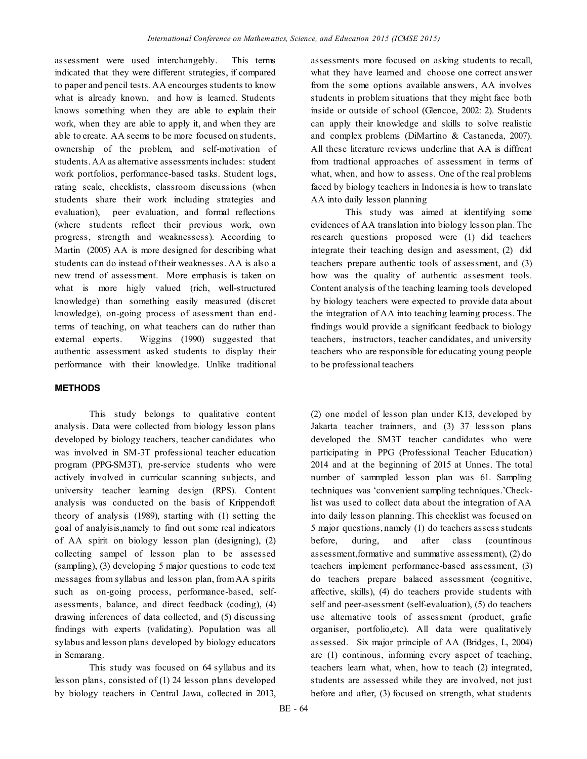assessment were used interchangebly. This terms indicated that they were different strategies, if compared to paper and pencil tests. AA encourges students to know what is already known, and how is learned. Students knows something when they are able to explain their work, when they are able to apply it, and when they are able to create. AA seems to be more focused on students, ownership of the problem, and self-motivation of students. AA as alternative assessments includes: student work portfolios, performance-based tasks. Student logs, rating scale, checklists, classroom discussions (when students share their work including strategies and evaluation), peer evaluation, and formal reflections (where students reflect their previous work, own progress, strength and weaknessess). According to Martin (2005) AA is more designed for describing what students can do instead of their weaknesses. AA is also a new trend of assessment. More emphasis is taken on what is more higly valued (rich, well-structured knowledge) than something easily measured (discret knowledge), on-going process of asessment than endterms of teaching, on what teachers can do rather than external experts. Wiggins (1990) suggested that authentic assessment asked students to display their performance with their knowledge. Unlike traditional

# **METHODS**

This study belongs to qualitative content analysis. Data were collected from biology lesson plans developed by biology teachers, teacher candidates who was involved in SM-3T professional teacher education program (PPG-SM3T), pre-service students who were actively involved in curricular scanning subjects, and university teacher learning design (RPS). Content analysis was conducted on the basis of Krippendoft theory of analysis (1989), starting with (1) setting the goal of analyisis,namely to find out some real indicators of AA spirit on biology lesson plan (designing), (2) collecting sampel of lesson plan to be assessed (sampling), (3) developing 5 major questions to code text messages from syllabus and lesson plan, from AA s pirits such as on-going process, performance-based, selfasessments, balance, and direct feedback (coding), (4) drawing inferences of data collected, and (5) discussing findings with experts (validating). Population was all sylabus and lesson plans developed by biology educators in Semarang.

This study was focused on 64 syllabus and its lesson plans, consisted of (1) 24 lesson plans developed by biology teachers in Central Jawa, collected in 2013, assessments more focused on asking students to recall, what they have learned and choose one correct answer from the some options available answers, AA involves students in problem situations that they might face both inside or outside of school (Glencoe, 2002: 2). Students can apply their knowledge and skills to solve realistic and complex problems (DiMartino & Castaneda, 2007). All these literature reviews underline that AA is diffrent from tradtional approaches of assessment in terms of what, when, and how to assess. One of the real problems faced by biology teachers in Indonesia is how to translate AA into daily lesson planning

This study was aimed at identifying some evidences of AA translation into biology lesson plan. The research questions proposed were (1) did teachers integrate their teaching design and asessment, (2) did teachers prepare authentic tools of assessment, and (3) how was the quality of authentic assesment tools. Content analysis of the teaching learning tools developed by biology teachers were expected to provide data about the integration of AA into teaching learning process. The findings would provide a significant feedback to biology teachers, instructors, teacher candidates, and university teachers who are responsible for educating young people to be professional teachers

(2) one model of lesson plan under K13, developed by Jakarta teacher trainners, and (3) 37 lessson plans developed the SM3T teacher candidates who were participating in PPG (Professional Teacher Education) 2014 and at the beginning of 2015 at Unnes. The total number of sammpled lesson plan was 61. Sampling techniques was "convenient sampling techniques."Checklist was used to collect data about the integration of AA into daily lesson planning. This checklist was focused on 5 major questions, namely (1) do teachers assess students before, during, and after class (countinous assessment,formative and summative assessment), (2) do teachers implement performance-based assessment, (3) do teachers prepare balaced assessment (cognitive, affective, skills), (4) do teachers provide students with self and peer-asessment (self-evaluation), (5) do teachers use alternative tools of assessment (product, grafic organiser, portfolio,etc). All data were qualitatively assessed. Six major principle of AA (Bridges, L, 2004) are (1) continous, informing every aspect of teaching, teachers learn what, when, how to teach (2) integrated, students are assessed while they are involved, not just before and after, (3) focused on strength, what students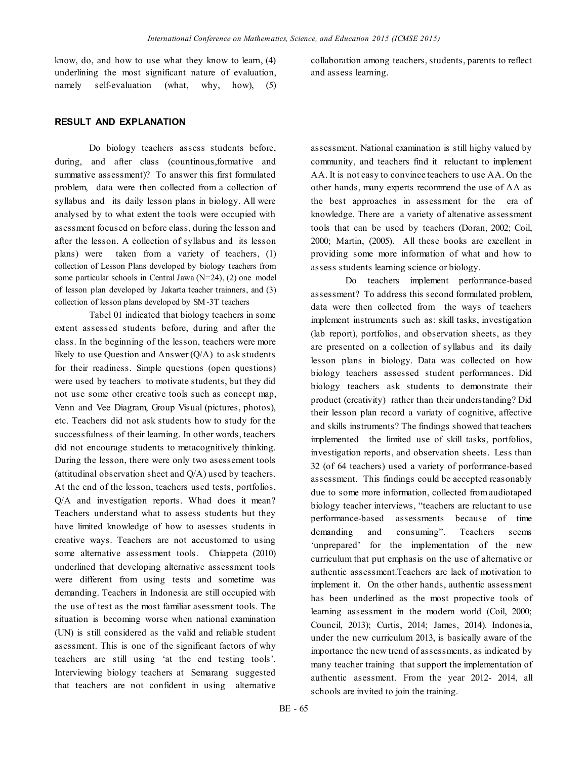know, do, and how to use what they know to learn, (4) underlining the most significant nature of evaluation, namely self-evaluation (what, why, how), (5) collaboration among teachers, students, parents to reflect and assess learning.

# **RESULT AND EXPLANATION**

Do biology teachers assess students before, during, and after class (countinous,formative and summative assessment)? To answer this first formulated problem, data were then collected from a collection of syllabus and its daily lesson plans in biology. All were analysed by to what extent the tools were occupied with asessment focused on before class, during the lesson and after the lesson. A collection of syllabus and its lesson plans) were taken from a variety of teachers, (1) collection of Lesson Plans developed by biology teachers from some particular schools in Central Jawa (N=24), (2) one model of lesson plan developed by Jakarta teacher trainners, and (3) collection of lesson plans developed by SM-3T teachers

Tabel 01 indicated that biology teachers in some extent assessed students before, during and after the class. In the beginning of the lesson, teachers were more likely to use Question and Answer  $(Q/A)$  to ask students for their readiness. Simple questions (open questions) were used by teachers to motivate students, but they did not use some other creative tools such as concept map, Venn and Vee Diagram, Group Visual (pictures, photos), etc. Teachers did not ask students how to study for the successfulness of their learning. In other words, teachers did not encourage students to metacognitively thinking. During the lesson, there were only two asessement tools (attitudinal observation sheet and Q/A) used by teachers. At the end of the lesson, teachers used tests, portfolios, Q/A and investigation reports. Whad does it mean? Teachers understand what to assess students but they have limited knowledge of how to asesses students in creative ways. Teachers are not accustomed to using some alternative assessment tools. Chiappeta (2010) underlined that developing alternative assessment tools were different from using tests and sometime was demanding. Teachers in Indonesia are still occupied with the use of test as the most familiar asessment tools. The situation is becoming worse when national examination (UN) is still considered as the valid and reliable student asessment. This is one of the significant factors of why teachers are still using "at the end testing tools". Interviewing biology teachers at Semarang suggested that teachers are not confident in using alternative

assessment. National examination is still highy valued by community, and teachers find it reluctant to implement AA. It is not easy to convince teachers to use AA. On the other hands, many experts recommend the use of AA as the best approaches in assessment for the era of knowledge. There are a variety of altenative assessment tools that can be used by teachers (Doran, 2002; Coil, 2000; Martin, (2005). All these books are excellent in providing some more information of what and how to assess students learning science or biology.

Do teachers implement performance-based assessment? To address this second formulated problem, data were then collected from the ways of teachers implement instruments such as: skill tasks, investigation (lab report), portfolios, and observation sheets, as they are presented on a collection of syllabus and its daily lesson plans in biology. Data was collected on how biology teachers assessed student performances. Did biology teachers ask students to demonstrate their product (creativity) rather than their understanding? Did their lesson plan record a variaty of cognitive, affective and skills instruments? The findings showed that teachers implemented the limited use of skill tasks, portfolios, investigation reports, and observation sheets. Less than 32 (of 64 teachers) used a variety of porformance-based assessment. This findings could be accepted reasonably due to some more information, collected from audiotaped biology teacher interviews, "teachers are reluctant to use performance-based assessments because of time demanding and consuming". Teachers seems 'unprepared' for the implementation of the new curriculum that put emphasis on the use of alternative or authentic assessment.Teachers are lack of motivation to implement it. On the other hands, authentic assessment has been underlined as the most propective tools of learning assessment in the modern world (Coil, 2000; Council, 2013); Curtis, 2014; James, 2014). Indonesia, under the new curriculum 2013, is basically aware of the importance the new trend of assessments, as indicated by many teacher training that support the implementation of authentic asessment. From the year 2012- 2014, all schools are invited to join the training.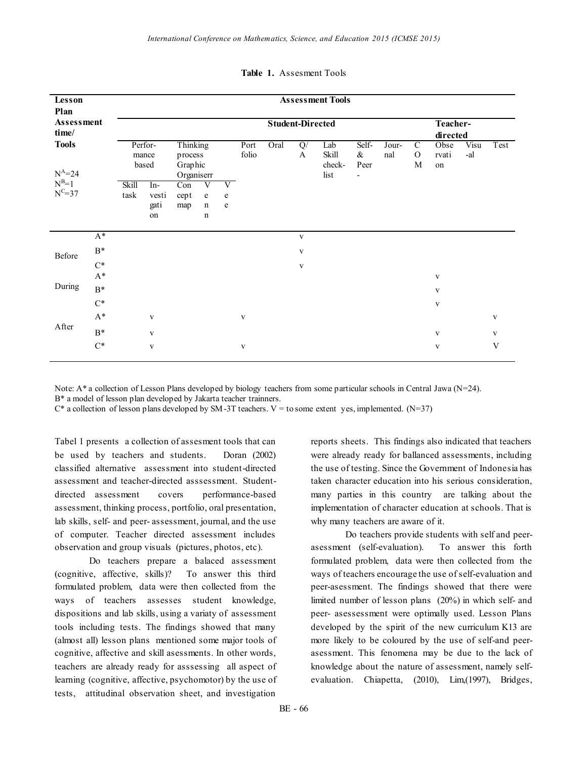| Lesson<br>Plan<br>Assessment<br>time/ |                | <b>Assessment Tools</b>   |                            |                                              |                            |                             |               |      |                     |                                |                                                   |              |                                |                     |             |              |
|---------------------------------------|----------------|---------------------------|----------------------------|----------------------------------------------|----------------------------|-----------------------------|---------------|------|---------------------|--------------------------------|---------------------------------------------------|--------------|--------------------------------|---------------------|-------------|--------------|
|                                       |                | <b>Student-Directed</b>   |                            |                                              |                            |                             |               |      |                     |                                |                                                   |              | Teacher-<br>directed           |                     |             |              |
| <b>Tools</b><br>$N^A = 24$            |                | Perfor-<br>mance<br>based |                            | Thinking<br>process<br>Graphic<br>Organiserr |                            |                             | Port<br>folio | Oral | $\mathbf{Q}/%$<br>A | Lab<br>Skill<br>check-<br>list | Self-<br>$\&$<br>Peer<br>$\overline{\phantom{0}}$ | Jour-<br>nal | $\mathcal{C}$<br>$\Omega$<br>M | Obse<br>rvati<br>on | Visu<br>-al | Test         |
| $N^{B=1}$<br>$N^{C=37}$               |                | Skill<br>task             | In-<br>vesti<br>gati<br>on | Con<br>cept<br>map                           | V<br>e<br>$\mathbf n$<br>n | V<br>${\rm e}$<br>${\bf e}$ |               |      |                     |                                |                                                   |              |                                |                     |             |              |
|                                       | $A^*$          |                           |                            |                                              |                            |                             |               |      | $\mathbf V$         |                                |                                                   |              |                                |                     |             |              |
| Before                                | $\mathrm{B}^*$ |                           |                            |                                              |                            |                             |               |      | V                   |                                |                                                   |              |                                |                     |             |              |
|                                       | $C^*$          |                           |                            |                                              |                            |                             |               |      | $\mathbf{V}$        |                                |                                                   |              |                                |                     |             |              |
| During                                | $\mathrm{A}^*$ |                           |                            |                                              |                            |                             |               |      |                     |                                |                                                   |              |                                | $\mathbf{V}$        |             |              |
|                                       | $B^*$          |                           |                            |                                              |                            |                             |               |      |                     |                                |                                                   |              |                                | $\mathbf{V}$        |             |              |
|                                       | $\mathrm{C}^*$ |                           |                            |                                              |                            |                             |               |      |                     |                                |                                                   |              |                                | $\mathbf{V}$        |             |              |
| After                                 | $\mathrm{A}^*$ |                           | V                          |                                              |                            |                             | $\mathbf{V}$  |      |                     |                                |                                                   |              |                                |                     |             | V            |
|                                       | $\mathrm{B}^*$ |                           | $\mathbf{V}$               |                                              |                            |                             |               |      |                     |                                |                                                   |              |                                | $\mathbf{V}$        |             | $\mathbf{V}$ |
|                                       | $C^*$          |                           | $\mathbf{V}$               |                                              |                            |                             | $\mathbf{V}$  |      |                     |                                |                                                   |              |                                | $\mathbf{V}$        |             | V            |

### **Table 1.** Assesment Tools

Note: A\* a collection of Lesson Plans developed by biology teachers from some particular schools in Central Jawa (N=24). B\* a model of lesson plan developed by Jakarta teacher trainners.

 $C^*$  a collection of lesson plans developed by SM-3T teachers. V = to some extent yes, implemented. (N=37)

Tabel 1 presents a collection of assesment tools that can be used by teachers and students. Doran (2002) classified alternative assessment into student-directed assessment and teacher-directed asssessment. Studentdirected assessment covers performance-based assessment, thinking process, portfolio, oral presentation, lab skills, self- and peer- assessment, journal, and the use of computer. Teacher directed assessment includes observation and group visuals (pictures, photos, etc).

Do teachers prepare a balaced assessment (cognitive, affective, skills)? To answer this third formulated problem, data were then collected from the ways of teachers assesses student knowledge, dispositions and lab skills, using a variaty of assessment tools including tests. The findings showed that many (almost all) lesson plans mentioned some major tools of cognitive, affective and skill asessments. In other words, teachers are already ready for asssessing all aspect of learning (cognitive, affective, psychomotor) by the use of tests, attitudinal observation sheet, and investigation

reports sheets. This findings also indicated that teachers were already ready for ballanced assessments, including the use of testing. Since the Government of Indonesia has taken character education into his serious consideration, many parties in this country are talking about the implementation of character education at schools. That is why many teachers are aware of it.

Do teachers provide students with self and peerasessment (self-evaluation). To answer this forth formulated problem, data were then collected from the ways of teachers encourage the use of self-evaluation and peer-asessment. The findings showed that there were limited number of lesson plans (20%) in which self- and peer- asessessment were optimally used. Lesson Plans developed by the spirit of the new curriculum K13 are more likely to be coloured by the use of self-and peerasessment. This fenomena may be due to the lack of knowledge about the nature of assessment, namely selfevaluation. Chiapetta, (2010), Lim,(1997), Bridges,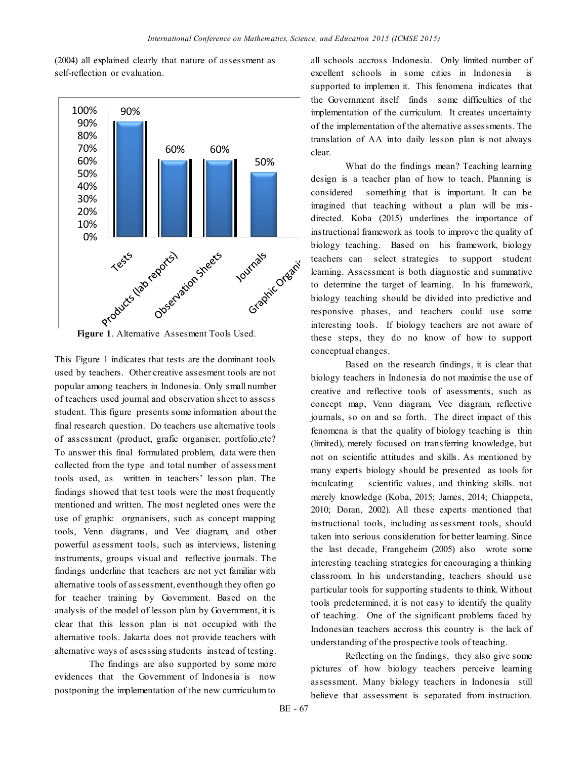(2004) all explained clearly that nature of assessment as self-reflection or evaluation.



**Figure 1**. Alternative Assesment Tools Used.

This Figure 1 indicates that tests are the dominant tools used by teachers. Other creative assesment tools are not popular among teachers in Indonesia. Only small number of teachers used journal and observation sheet to assess student. This figure presents some information about the final research question. Do teachers use alternative tools of assessment (product, grafic organiser, portfolio,etc? To answer this final formulated problem, data were then collected from the type and total number of assessment tools used, as written in teachers' lesson plan. The findings showed that test tools were the most frequently mentioned and written. The most negleted ones were the use of graphic orgnanisers, such as concept mapping tools, Venn diagrams, and Vee diagram, and other powerful asessment tools, such as interviews, listening instruments, groups visual and reflective journals. The findings underline that teachers are not yet familiar with alternative tools of assessment, eventhough they often go for teacher training by Government. Based on the analysis of the model of lesson plan by Government, it is clear that this lesson plan is not occupied with the alternative tools. Jakarta does not provide teachers with alternative ways of asesssing students instead of testing.

The findings are also supported by some more evidences that the Government of Indonesia is now postponing the implementation of the new currriculum to

all schools accross Indonesia. Only limited number of excellent schools in some cities in Indonesia supported to implemen it. This fenomena indicates that the Government itself finds some difficulties of the implementation of the curriculum. It creates uncertainty of the implementation of the alternative assessments. The translation of AA into daily lesson plan is not always clear.

What do the findings mean? Teaching learning design is a teacher plan of how to teach. Planning is considered something that is important. It can be imagined that teaching without a plan will be misdirected. Koba (2015) underlines the importance of instructional framework as tools to improve the quality of biology teaching. Based on his framework, biology teachers can select strategies to support student learning. Assessment is both diagnostic and summative to determine the target of learning. In his framework, biology teaching should be divided into predictive and responsive phases, and teachers could use some interesting tools. If biology teachers are not aware of these steps, they do no know of how to support conceptual changes.

Based on the research findings, it is clear that biology teachers in Indonesia do not maximise the use of creative and reflective tools of asessments, such as concept map, Venn diagram, Vee diagram, reflective journals, so on and so forth. The direct impact of this fenomena is that the quality of biology teaching is thin (limited), merely focused on transferring knowledge, but not on scientific attitudes and skills. As mentioned by many experts biology should be presented as tools for inculcating scientific values, and thinking skills. not merely knowledge (Koba, 2015; James, 2014; Chiappeta, 2010; Doran, 2002). All these experts mentioned that instructional tools, including assessment tools, should taken into serious consideration for better learning. Since the last decade, Frangeheim (2005) also wrote some interesting teaching strategies for encouraging a thinking classroom. In his understanding, teachers should use particular tools for supporting students to think. Without tools predetermined, it is not easy to identify the quality of teaching. One of the significant problems faced by Indonesian teachers accross this country is the lack of understanding of the prospective tools of teaching.

Reflecting on the findings, they also give some pictures of how biology teachers perceive learning assessment. Many biology teachers in Indonesia still believe that assessment is separated from instruction.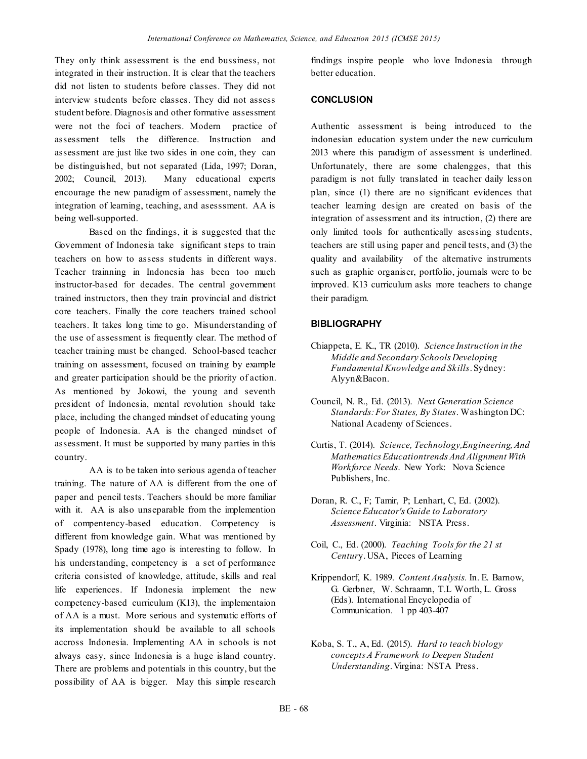They only think assessment is the end bussiness, not integrated in their instruction. It is clear that the teachers did not listen to students before classes. They did not interview students before classes. They did not assess student before. Diagnosis and other formative assessment were not the foci of teachers. Modern practice of assessment tells the difference. Instruction and assessment are just like two sides in one coin, they can be distinguished, but not separated (Lida, 1997; Doran, 2002; Council, 2013). Many educational experts encourage the new paradigm of assessment, namely the integration of learning, teaching, and asesssment. AA is being well-supported.

Based on the findings, it is suggested that the Government of Indonesia take significant steps to train teachers on how to assess students in different ways. Teacher trainning in Indonesia has been too much instructor-based for decades. The central government trained instructors, then they train provincial and district core teachers. Finally the core teachers trained school teachers. It takes long time to go. Misunderstanding of the use of assessment is frequently clear. The method of teacher training must be changed. School-based teacher training on assessment, focused on training by example and greater participation should be the priority of action. As mentioned by Jokowi, the young and seventh president of Indonesia, mental revolution should take place, including the changed mindset of educating young people of Indonesia. AA is the changed mindset of assessment. It must be supported by many parties in this country.

AA is to be taken into serious agenda of teacher training. The nature of AA is different from the one of paper and pencil tests. Teachers should be more familiar with it. AA is also unseparable from the implemention of compentency-based education. Competency is different from knowledge gain. What was mentioned by Spady (1978), long time ago is interesting to follow. In his understanding, competency is a set of performance criteria consisted of knowledge, attitude, skills and real life experiences. If Indonesia implement the new competency-based curriculum (K13), the implementaion of AA is a must. More serious and systematic efforts of its implementation should be available to all schools accross Indonesia. Implementing AA in schools is not always easy, since Indonesia is a huge island country. There are problems and potentials in this country, but the possibility of AA is bigger. May this simple research

findings inspire people who love Indonesia through better education.

## **CONCLUSION**

Authentic assessment is being introduced to the indonesian education system under the new curriculum 2013 where this paradigm of assessment is underlined. Unfortunately, there are some chalengges, that this paradigm is not fully translated in teacher daily lesson plan, since (1) there are no significant evidences that teacher learning design are created on basis of the integration of assessment and its intruction, (2) there are only limited tools for authentically asessing students, teachers are still using paper and pencil tests, and (3) the quality and availability of the alternative instruments such as graphic organiser, portfolio, journals were to be improved. K13 curriculum asks more teachers to change their paradigm.

### **BIBLIOGRAPHY**

- Chiappeta, E. K., TR (2010). *Science Instruction in the Middle and Secondary Schools Developing Fundamental Knowledge and Skills*. Sydney: Alyyn&Bacon.
- Council, N. R., Ed. (2013). *Next Generation Science Standards: For States, By States*. Washington DC: National Academy of Sciences.
- Curtis, T. (2014). *Science, Technology,Engineering, And Mathematics Educationtrends And Alignment With Workforce Needs*. New York: Nova Science Publishers, Inc.
- Doran, R. C., F; Tamir, P; Lenhart, C, Ed. (2002). *Science Educator's Guide to Laboratory Assessment*. Virginia: NSTA Press.
- Coil, C., Ed. (2000). *Teaching Tools for the 21 st Centur*y. USA, Pieces of Learning
- Krippendorf, K. 1989. *Content Analysis.* In. E. Barnow, G. Gerbner, W. Schraamn, T.L Worth, L. Gross (Eds). International Encyclopedia of Communication. 1 pp 403-407
- Koba, S. T., A, Ed. (2015). *Hard to teach biology concepts A Framework to Deepen Student Understanding*. Virgina: NSTA Press.